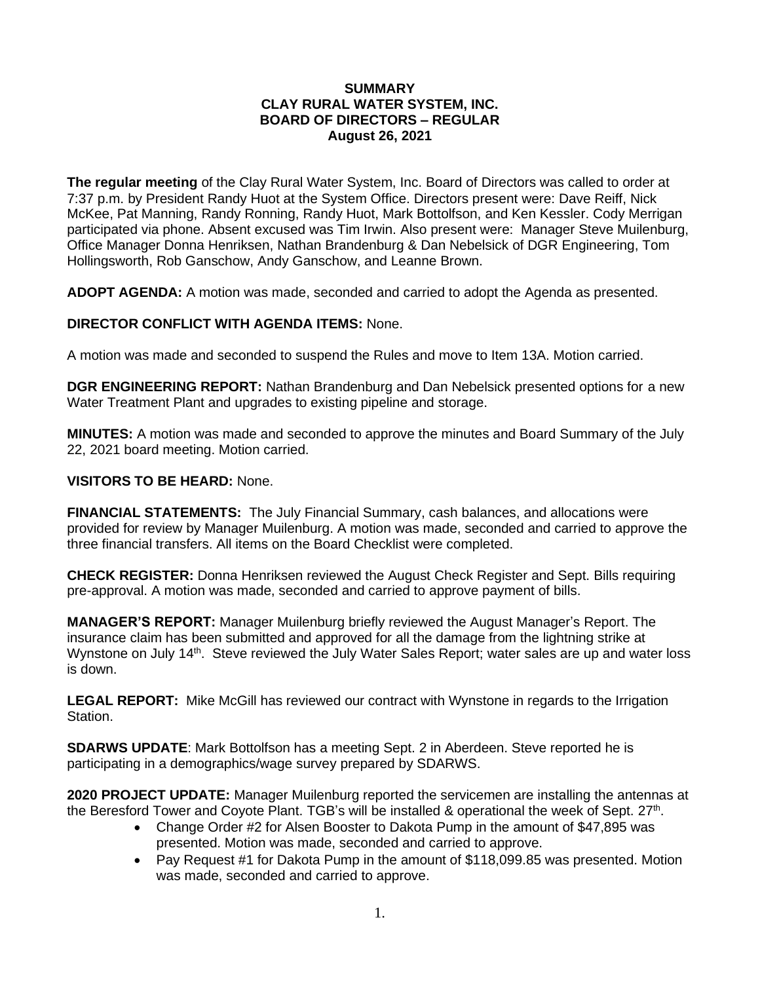#### **SUMMARY CLAY RURAL WATER SYSTEM, INC. BOARD OF DIRECTORS – REGULAR August 26, 2021**

**The regular meeting** of the Clay Rural Water System, Inc. Board of Directors was called to order at 7:37 p.m. by President Randy Huot at the System Office. Directors present were: Dave Reiff, Nick McKee, Pat Manning, Randy Ronning, Randy Huot, Mark Bottolfson, and Ken Kessler. Cody Merrigan participated via phone. Absent excused was Tim Irwin. Also present were: Manager Steve Muilenburg, Office Manager Donna Henriksen, Nathan Brandenburg & Dan Nebelsick of DGR Engineering, Tom Hollingsworth, Rob Ganschow, Andy Ganschow, and Leanne Brown.

**ADOPT AGENDA:** A motion was made, seconded and carried to adopt the Agenda as presented.

## **DIRECTOR CONFLICT WITH AGENDA ITEMS:** None.

A motion was made and seconded to suspend the Rules and move to Item 13A. Motion carried.

**DGR ENGINEERING REPORT:** Nathan Brandenburg and Dan Nebelsick presented options for a new Water Treatment Plant and upgrades to existing pipeline and storage.

**MINUTES:** A motion was made and seconded to approve the minutes and Board Summary of the July 22, 2021 board meeting. Motion carried.

### **VISITORS TO BE HEARD:** None.

**FINANCIAL STATEMENTS:** The July Financial Summary, cash balances, and allocations were provided for review by Manager Muilenburg. A motion was made, seconded and carried to approve the three financial transfers. All items on the Board Checklist were completed.

**CHECK REGISTER:** Donna Henriksen reviewed the August Check Register and Sept. Bills requiring pre-approval. A motion was made, seconded and carried to approve payment of bills.

**MANAGER'S REPORT:** Manager Muilenburg briefly reviewed the August Manager's Report. The insurance claim has been submitted and approved for all the damage from the lightning strike at Wynstone on July 14<sup>th</sup>. Steve reviewed the July Water Sales Report; water sales are up and water loss is down.

**LEGAL REPORT:** Mike McGill has reviewed our contract with Wynstone in regards to the Irrigation Station.

**SDARWS UPDATE**: Mark Bottolfson has a meeting Sept. 2 in Aberdeen. Steve reported he is participating in a demographics/wage survey prepared by SDARWS.

**2020 PROJECT UPDATE:** Manager Muilenburg reported the servicemen are installing the antennas at the Beresford Tower and Coyote Plant. TGB's will be installed & operational the week of Sept.  $27<sup>th</sup>$ .

- Change Order #2 for Alsen Booster to Dakota Pump in the amount of \$47,895 was presented. Motion was made, seconded and carried to approve.
- Pay Request #1 for Dakota Pump in the amount of \$118,099.85 was presented. Motion was made, seconded and carried to approve.